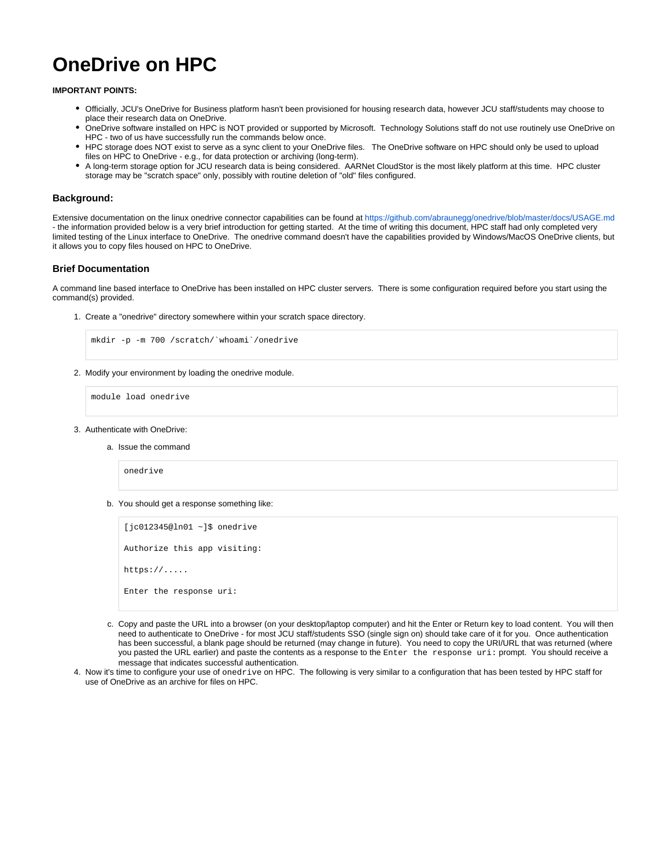# **OneDrive on HPC**

**IMPORTANT POINTS:**

- Officially, JCU's OneDrive for Business platform hasn't been provisioned for housing research data, however JCU staff/students may choose to place their research data on OneDrive.
- OneDrive software installed on HPC is NOT provided or supported by Microsoft. Technology Solutions staff do not use routinely use OneDrive on HPC - two of us have successfully run the commands below once.
- HPC storage does NOT exist to serve as a sync client to your OneDrive files. The OneDrive software on HPC should only be used to upload files on HPC to OneDrive - e.g., for data protection or archiving (long-term).
- A long-term storage option for JCU research data is being considered. AARNet CloudStor is the most likely platform at this time. HPC cluster storage may be "scratch space" only, possibly with routine deletion of "old" files configured.

#### **Background:**

Extensive documentation on the linux onedrive connector capabilities can be found at<https://github.com/abraunegg/onedrive/blob/master/docs/USAGE.md> - the information provided below is a very brief introduction for getting started. At the time of writing this document, HPC staff had only completed very limited testing of the Linux interface to OneDrive. The onedrive command doesn't have the capabilities provided by Windows/MacOS OneDrive clients, but it allows you to copy files housed on HPC to OneDrive.

#### **Brief Documentation**

A command line based interface to OneDrive has been installed on HPC cluster servers. There is some configuration required before you start using the command(s) provided.

1. Create a "onedrive" directory somewhere within your scratch space directory.

mkdir -p -m 700 /scratch/`whoami`/onedrive

2. Modify your environment by loading the onedrive module.

module load onedrive

- 3. Authenticate with OneDrive:
	- a. Issue the command

onedrive

b. You should get a response something like:

[jc012345@ln01 ~]\$ onedrive Authorize this app visiting: https://..... Enter the response uri:

- c. Copy and paste the URL into a browser (on your desktop/laptop computer) and hit the Enter or Return key to load content. You will then need to authenticate to OneDrive - for most JCU staff/students SSO (single sign on) should take care of it for you. Once authentication has been successful, a blank page should be returned (may change in future). You need to copy the URI/URL that was returned (where you pasted the URL earlier) and paste the contents as a response to the Enter the response uri: prompt. You should receive a message that indicates successful authentication.
- 4. Now it's time to configure your use of onedrive on HPC. The following is very similar to a configuration that has been tested by HPC staff for use of OneDrive as an archive for files on HPC.